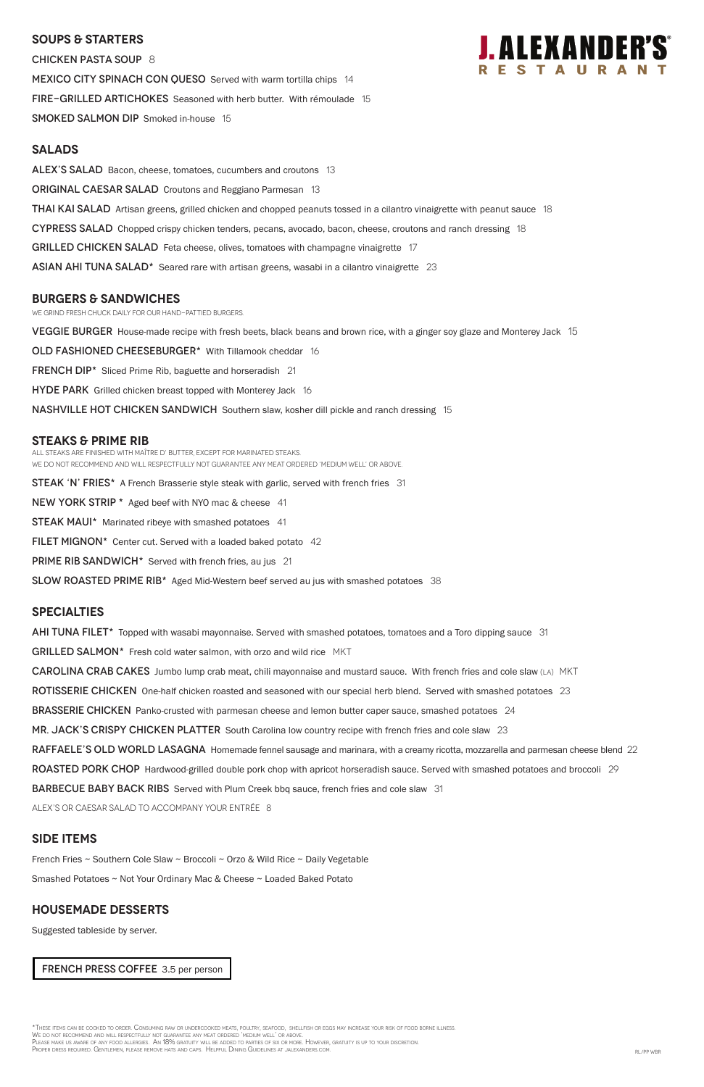### **SOUPS & Starters**

Chicken Pasta Soup 8 MEXICO CITY SPINACH CON QUESO Served with warm tortilla chips 14 FIRE-GRILLED ARTICHOKES Seasoned with herb butter. With rémoulade 15 SMOKED SALMON DIP Smoked in-house 15



### **Salads**

ALEX'S SALAD Bacon, cheese, tomatoes, cucumbers and croutons 13

**ORIGINAL CAESAR SALAD** Croutons and Reggiano Parmesan 13

**THAI KAI SALAD** Artisan greens, grilled chicken and chopped peanuts tossed in a cilantro vinaigrette with peanut sauce 18

CYPRESS SALAD Chopped crispy chicken tenders, pecans, avocado, bacon, cheese, croutons and ranch dressing 18

GRILLED CHICKEN SALAD Feta cheese, olives, tomatoes with champagne vinaigrette 17

ASIAN AHI TUNA SALAD\* Seared rare with artisan greens, wasabi in a cilantro vinaigrette 23

### **burgers & Sandwiches**

We grind fresh chuck daily for our hand-pattied burgers.

VEGGIE BURGER House-made recipe with fresh beets, black beans and brown rice, with a ginger soy glaze and Monterey Jack 15

OLD FASHIONED CHEESEBURGER\* With Tillamook cheddar 16

FRENCH DIP<sup>\*</sup> Sliced Prime Rib, baguette and horseradish 21

**HYDE PARK** Grilled chicken breast topped with Monterey Jack 16

NASHVILLE HOT CHICKEN SANDWICH Southern slaw, kosher dill pickle and ranch dressing 15

### **STEAKS & Prime Rib**

All steaks are finished with Maître d' butter, except for marinated steaks. WE DO NOT RECOMMEND AND WILL RESPECTFULLY NOT GUARANTEE ANY MEAT ORDERED 'MEDIUM WELL' OR ABOVE.

STEAK 'N' FRIES\* A French Brasserie style steak with garlic, served with french fries 31 NEW YORK STRIP \* Aged beef with NYO mac & cheese 41 **STEAK MAUI\*** Marinated ribeye with smashed potatoes 41 FILET MIGNON\* Center cut. Served with a loaded baked potato 42 **PRIME RIB SANDWICH\*** Served with french fries, au jus 21

SLOW ROASTED PRIME RIB<sup>\*</sup> Aged Mid-Western beef served au jus with smashed potatoes 38

\*These items can be cooked to order. Consuming raw or undercooked meats, poultry, seafood, shellfish or eggs may increase your risk of food borne illness. We do not recommend and will respectfully not guarantee any meat ordered 'medium well' or above. Please make us aware of any food allergies. An 18% gratuity will be added to parties of six or more. However, gratuity is up to your discretion. Proper dress required. Gentlemen, please remove hats and caps. Helpful Dining Guidelines at jalexanders.com. RL/PP wBR

### **specialties**

AHI TUNA FILET<sup>\*</sup> Topped with wasabi mayonnaise. Served with smashed potatoes, tomatoes and a Toro dipping sauce 31

GRILLED SALMON\* Fresh cold water salmon, with orzo and wild rice MKT

**CAROLINA CRAB CAKES** Jumbo lump crab meat, chili mayonnaise and mustard sauce. With french fries and cole slaw (LA) MKT

ROTISSERIE CHICKEN One-half chicken roasted and seasoned with our special herb blend. Served with smashed potatoes 23

**BRASSERIE CHICKEN** Panko-crusted with parmesan cheese and lemon butter caper sauce, smashed potatoes 24

MR. JACK'S CRISPY CHICKEN PLATTER South Carolina low country recipe with french fries and cole slaw 23

RAFFAELE'S OLD WORLD LASAGNA Homemade fennel sausage and marinara, with a creamy ricotta, mozzarella and parmesan cheese blend 22

ROASTED PORK CHOP Hardwood-grilled double pork chop with apricot horseradish sauce. Served with smashed potatoes and broccoli 29

BARBECUE BABY BACK RIBS Served with Plum Creek bbq sauce, french fries and cole slaw 31

### **SIDE ITEMS**

French Fries ~ Southern Cole Slaw ~ Broccoli ~ Orzo & Wild Rice ~ Daily Vegetable

Smashed Potatoes ~ Not Your Ordinary Mac & Cheese ~ Loaded Baked Potato

### **Housemade DESSERTS**

Suggested tableside by server.

FRENCH PRESS COFFEE 3.5 per person